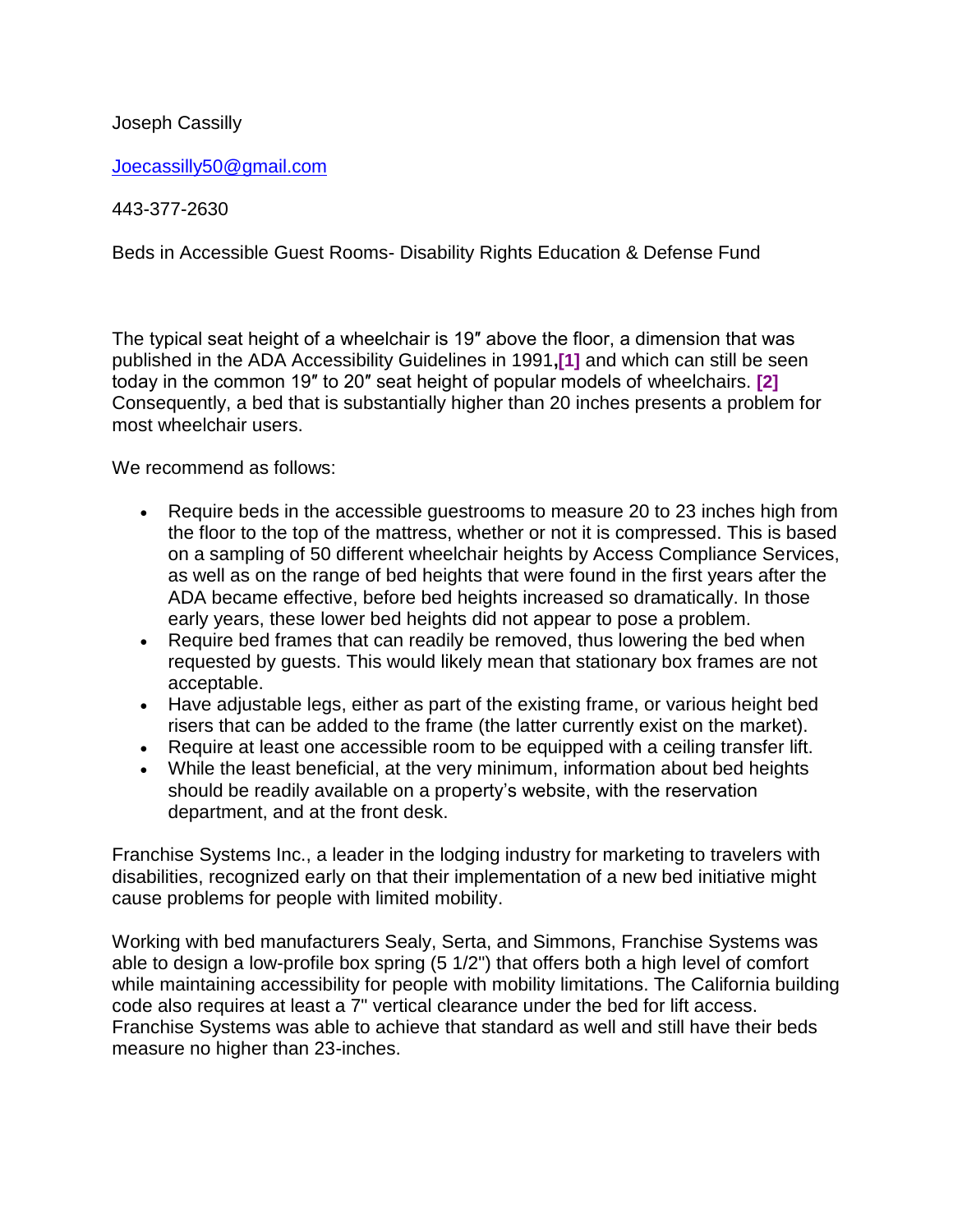## Joseph Cassilly

[Joecassilly50@gmail.com](mailto:Joecassilly50@gmail.com)

443-377-2630

Beds in Accessible Guest Rooms- Disability Rights Education & Defense Fund

The typical seat height of a wheelchair is 19″ above the floor, a dimension that was published in the ADA Accessibility Guidelines in 1991**[,\[1\]](https://dredf.org/public-policy/dredfs-model-comments-on-the-doj-anprm/beds-accessible-guest-rooms-sleeping-rooms/#_edn1)** and which can still be seen today in the common 19″ to 20″ seat height of popular models of wheelchairs. **[\[2\]](https://dredf.org/public-policy/dredfs-model-comments-on-the-doj-anprm/beds-accessible-guest-rooms-sleeping-rooms/#_edn2)** Consequently, a bed that is substantially higher than 20 inches presents a problem for most wheelchair users.

We recommend as follows:

- Require beds in the accessible guestrooms to measure 20 to 23 inches high from the floor to the top of the mattress, whether or not it is compressed. This is based on a sampling of 50 different wheelchair heights by Access Compliance Services, as well as on the range of bed heights that were found in the first years after the ADA became effective, before bed heights increased so dramatically. In those early years, these lower bed heights did not appear to pose a problem.
- Require bed frames that can readily be removed, thus lowering the bed when requested by guests. This would likely mean that stationary box frames are not acceptable.
- Have adjustable legs, either as part of the existing frame, or various height bed risers that can be added to the frame (the latter currently exist on the market).
- Require at least one accessible room to be equipped with a ceiling transfer lift.
- While the least beneficial, at the very minimum, information about bed heights should be readily available on a property's website, with the reservation department, and at the front desk.

Franchise Systems Inc., a leader in the lodging industry for marketing to travelers with disabilities, recognized early on that their implementation of a new bed initiative might cause problems for people with limited mobility.

Working with bed manufacturers Sealy, Serta, and Simmons, Franchise Systems was able to design a low-profile box spring (5 1/2") that offers both a high level of comfort while maintaining accessibility for people with mobility limitations. The California building code also requires at least a 7" vertical clearance under the bed for lift access. Franchise Systems was able to achieve that standard as well and still have their beds measure no higher than 23-inches.